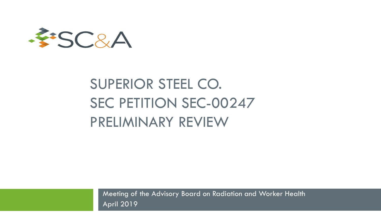

# SUPERIOR STEEL CO. SEC PETITION SEC-00247 PRELIMINARY REVIEW

Meeting of the Advisory Board on Radiation and Worker Health April 2019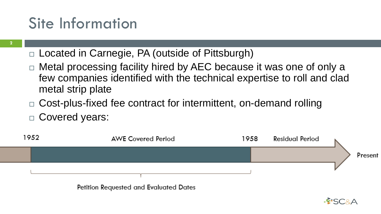## Site Information

- **2**
- $\Box$  Located in Carnegie, PA (outside of Pittsburgh)
- $\Box$  Metal processing facility hired by AEC because it was one of only a few companies identified with the technical expertise to roll and clad metal strip plate
- □ Cost-plus-fixed fee contract for intermittent, on-demand rolling Covered years:

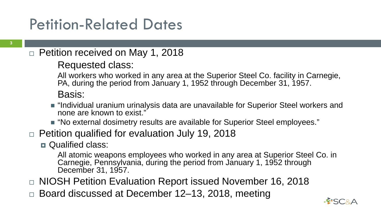## Petition-Related Dates

#### □ Petition received on May 1, 2018

Requested class:

All workers who worked in any area at the Superior Steel Co. facility in Carnegie, PA, during the period from January 1, 1952 through December 31, 1957.

#### Basis:

- "Individual uranium urinalysis data are unavailable for Superior Steel workers and none are known to exist."
- "No external dosimetry results are available for Superior Steel employees."

#### $\Box$  Petition qualified for evaluation July 19, 2018

Qualified class:

All atomic weapons employees who worked in any area at Superior Steel Co. in Carnegie, Pennsylvania, during the period from January 1, 1952 through December 31, 1957.

□ NIOSH Petition Evaluation Report issued November 16, 2018

Board discussed at December 12–13, 2018, meeting

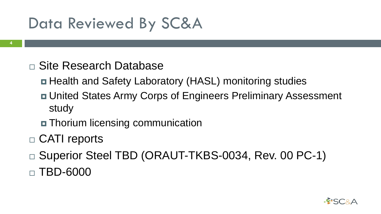## Data Reviewed By SC&A

- □ Site Research Database
	- Health and Safety Laboratory (HASL) monitoring studies
	- United States Army Corps of Engineers Preliminary Assessment study
	- Thorium licensing communication
- CATI reports
- □ Superior Steel TBD (ORAUT-TKBS-0034, Rev. 00 PC-1)  $\Box$  TBD-6000

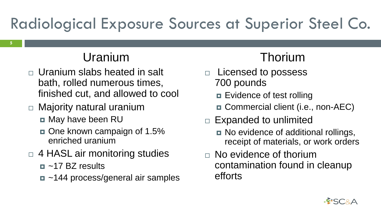# Radiological Exposure Sources at Superior Steel Co.

### Uranium

- Uranium slabs heated in salt bath, rolled numerous times, finished cut, and allowed to cool
- □ Majority natural uranium
	- **D** May have been RU

**5**

- One known campaign of 1.5% enriched uranium
- □ 4 HASL air monitoring studies
	- $\overline{p}$  ~17 BZ results
	- ~144 process/general air samples

### Thorium

- $\Box$  Licensed to possess 700 pounds
	- **E** Evidence of test rolling
	- Commercial client (i.e., non-AEC)

### $\Box$  Expanded to unlimited

- No evidence of additional rollings, receipt of materials, or work orders
- $\Box$  No evidence of thorium contamination found in cleanup efforts

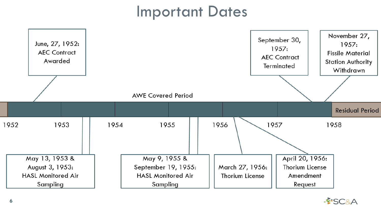## Important Dates

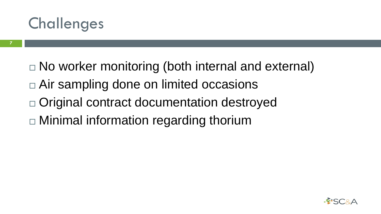

 No worker monitoring (both internal and external) □ Air sampling done on limited occasions Original contract documentation destroyed Minimal information regarding thorium

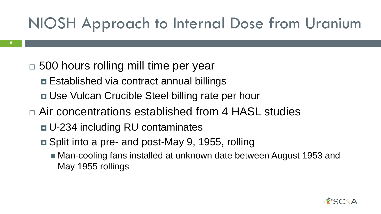# NIOSH Approach to Internal Dose from Uranium

- $\Box$  500 hours rolling mill time per year
	- Established via contract annual billings
	- Use Vulcan Crucible Steel billing rate per hour
- □ Air concentrations established from 4 HASL studies
	- U-234 including RU contaminates
	- Split into a pre- and post-May 9, 1955, rolling
		- Man-cooling fans installed at unknown date between August 1953 and May 1955 rollings

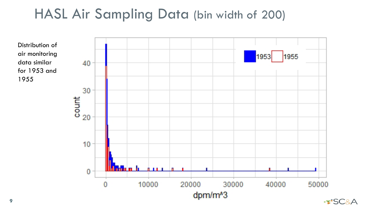## HASL Air Sampling Data (bin width of 200)

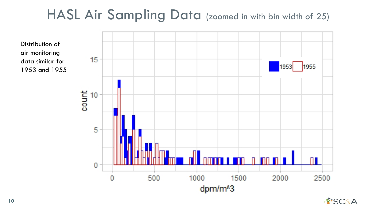### HASL Air Sampling Data (zoomed in with bin width of 25)



 $-55C8A$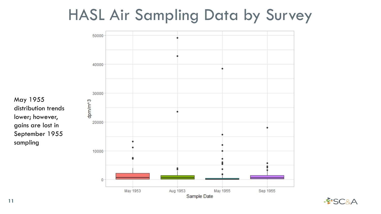## HASL Air Sampling Data by Survey



May 1955 distribution trends lower; however, gains are lost in September 1955 sampling

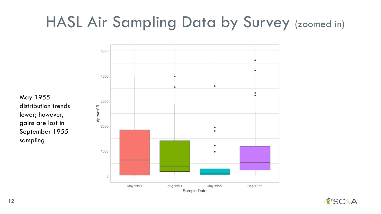# HASL Air Sampling Data by Survey (zoomed in)

May 1955 distribution trends dpm/m<sup>x</sup>3 lower; however, gains are lost in September 1955 sampling



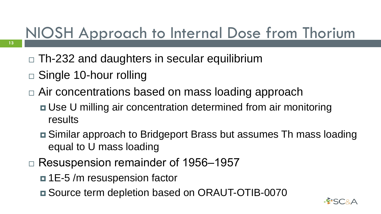# NIOSH Approach to Internal Dose from Thorium

- □ Th-232 and daughters in secular equilibrium
- □ Single 10-hour rolling

**13**

- □ Air concentrations based on mass loading approach
	- Use U milling air concentration determined from air monitoring results
	- Similar approach to Bridgeport Brass but assumes Th mass loading equal to U mass loading
- $\Box$  Resuspension remainder of 1956–1957
	- 1E-5 /m resuspension factor
	- Source term depletion based on ORAUT-OTIB-0070

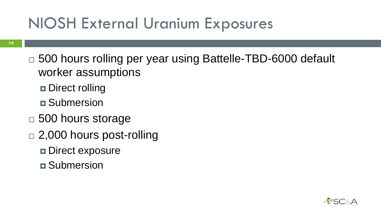## NIOSH External Uranium Exposures

- □ 500 hours rolling per year using Battelle-TBD-6000 default worker assumptions
	- Direct rolling
	- **E** Submersion
- $\Box$  500 hours storage
- $\Box$  2,000 hours post-rolling
	- Direct exposure
	- **□** Submersion

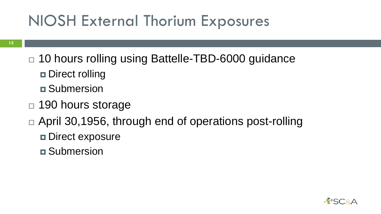## NIOSH External Thorium Exposures

- □ 10 hours rolling using Battelle-TBD-6000 guidance
	- **□** Direct rolling
	- **E** Submersion
- $\Box$  190 hours storage
- $\Box$  April 30,1956, through end of operations post-rolling
	- Direct exposure
	- **E** Submersion